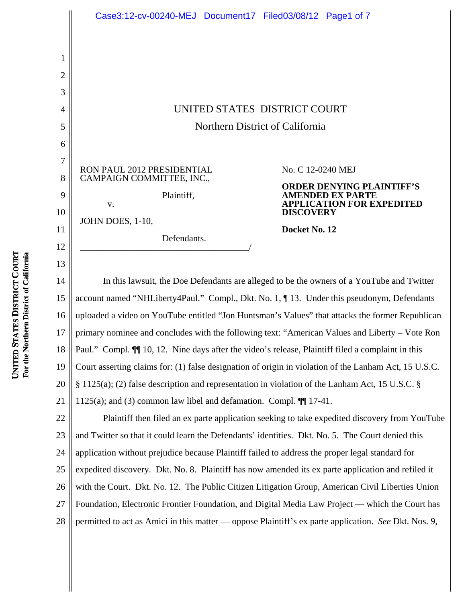|                                          | Case3:12-cv-00240-MEJ Document17 Filed03/08/12 Page1 of 7                                                      |                                                                                                                                     |  |  |
|------------------------------------------|----------------------------------------------------------------------------------------------------------------|-------------------------------------------------------------------------------------------------------------------------------------|--|--|
| 1<br>$\overline{2}$<br>3<br>4<br>5<br>6  |                                                                                                                | UNITED STATES DISTRICT COURT<br>Northern District of California                                                                     |  |  |
| $\tau$<br>8<br>9<br>10<br>11<br>12<br>13 | RON PAUL 2012 PRESIDENTIAL<br>CAMPAIGN COMMITTEE, INC.,<br>Plaintiff,<br>V.<br>JOHN DOES, 1-10,<br>Defendants. | No. C 12-0240 MEJ<br>RDER DENYING PLAINTIFF'S<br>'DED EX PA1<br><b>PLICATION FOR EXPEDITED</b><br><b>DISCOVERY</b><br>Docket No. 12 |  |  |
| 14<br>15                                 | account named "NHLiberty4Paul." Compl., Dkt. No. 1, ¶13. Under this pseudonym, Defendants                      | In this lawsuit, the Doe Defendants are alleged to be the owners of a YouTube and Twitter                                           |  |  |
| 16                                       | uploaded a video on YouTube entitled "Jon Huntsman's Values" that attacks the former Republican                |                                                                                                                                     |  |  |
| 17                                       | primary nominee and concludes with the following text: "American Values and Liberty - Vote Ron                 |                                                                                                                                     |  |  |
| 18                                       | Paul." Compl. II 10, 12. Nine days after the video's release, Plaintiff filed a complaint in this              |                                                                                                                                     |  |  |
| 19                                       | Court asserting claims for: (1) false designation of origin in violation of the Lanham Act, 15 U.S.C.          |                                                                                                                                     |  |  |
| 20                                       | $\S$ 1125(a); (2) false description and representation in violation of the Lanham Act, 15 U.S.C. $\S$          |                                                                                                                                     |  |  |

1125(a); and (3) common law libel and defamation. Compl. ¶¶ 17-41.

22 23 24 25 26 27 28 Plaintiff then filed an ex parte application seeking to take expedited discovery from YouTube and Twitter so that it could learn the Defendants' identities. Dkt. No. 5. The Court denied this application without prejudice because Plaintiff failed to address the proper legal standard for expedited discovery. Dkt. No. 8. Plaintiff has now amended its ex parte application and refiled it with the Court. Dkt. No. 12. The Public Citizen Litigation Group, American Civil Liberties Union Foundation, Electronic Frontier Foundation, and Digital Media Law Project — which the Court has permitted to act as Amici in this matter — oppose Plaintiff's ex parte application. *See* Dkt. Nos. 9,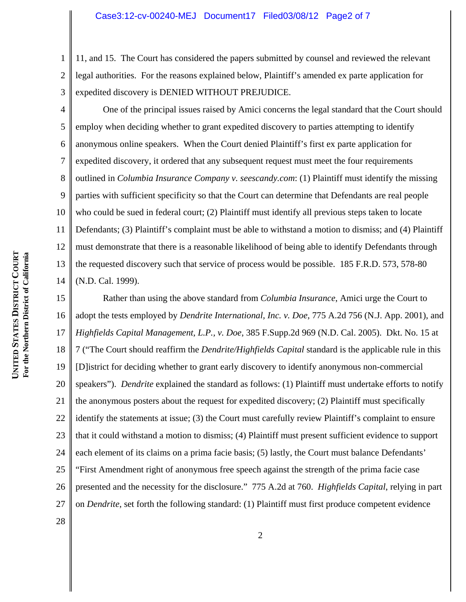1 2 3 11, and 15. The Court has considered the papers submitted by counsel and reviewed the relevant legal authorities. For the reasons explained below, Plaintiff's amended ex parte application for expedited discovery is DENIED WITHOUT PREJUDICE.

5 6 7 8 9 10 12 13 14 One of the principal issues raised by Amici concerns the legal standard that the Court should employ when deciding whether to grant expedited discovery to parties attempting to identify anonymous online speakers. When the Court denied Plaintiff's first ex parte application for expedited discovery, it ordered that any subsequent request must meet the four requirements outlined in *Columbia Insurance Company v. seescandy.com*: (1) Plaintiff must identify the missing parties with sufficient specificity so that the Court can determine that Defendants are real people who could be sued in federal court; (2) Plaintiff must identify all previous steps taken to locate Defendants; (3) Plaintiff's complaint must be able to withstand a motion to dismiss; and (4) Plaintiff must demonstrate that there is a reasonable likelihood of being able to identify Defendants through the requested discovery such that service of process would be possible. 185 F.R.D. 573, 578-80 (N.D. Cal. 1999).

15 16 17 18 19 20 21 22 23 24 25 26 27 Rather than using the above standard from *Columbia Insurance*, Amici urge the Court to adopt the tests employed by *Dendrite International, Inc. v. Doe*, 775 A.2d 756 (N.J. App. 2001), and *Highfields Capital Management, L.P., v. Doe*, 385 F.Supp.2d 969 (N.D. Cal. 2005). Dkt. No. 15 at 7 ("The Court should reaffirm the *Dendrite/Highfields Capital* standard is the applicable rule in this [D]istrict for deciding whether to grant early discovery to identify anonymous non-commercial speakers"). *Dendrite* explained the standard as follows: (1) Plaintiff must undertake efforts to notify the anonymous posters about the request for expedited discovery; (2) Plaintiff must specifically identify the statements at issue; (3) the Court must carefully review Plaintiff's complaint to ensure that it could withstand a motion to dismiss; (4) Plaintiff must present sufficient evidence to support each element of its claims on a prima facie basis; (5) lastly, the Court must balance Defendants' "First Amendment right of anonymous free speech against the strength of the prima facie case presented and the necessity for the disclosure." 775 A.2d at 760. *Highfields Capital*, relying in part on *Dendrite*, set forth the following standard: (1) Plaintiff must first produce competent evidence

**COURT** For the Northern District of California **For the Northern District of California DISTRICT STATES UNITED** 

4

11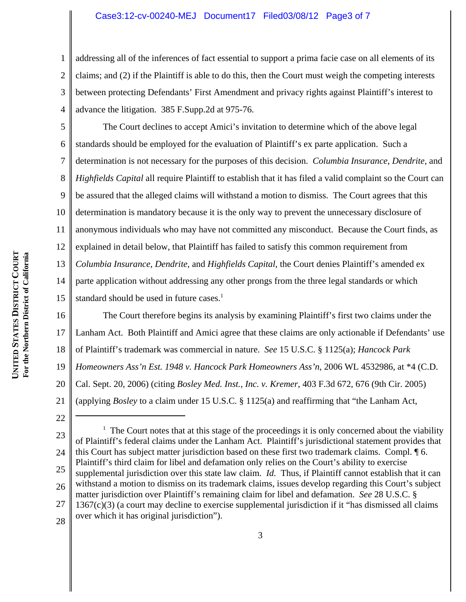## Case3:12-cv-00240-MEJ Document17 Filed03/08/12 Page3 of 7

1 2 3 4 addressing all of the inferences of fact essential to support a prima facie case on all elements of its claims; and (2) if the Plaintiff is able to do this, then the Court must weigh the competing interests between protecting Defendants' First Amendment and privacy rights against Plaintiff's interest to advance the litigation. 385 F.Supp.2d at 975-76.

5 6 7 8 9 10 11 12 13 14 15 The Court declines to accept Amici's invitation to determine which of the above legal standards should be employed for the evaluation of Plaintiff's ex parte application. Such a determination is not necessary for the purposes of this decision. *Columbia Insurance*, *Dendrite*, and *Highfields Capital* all require Plaintiff to establish that it has filed a valid complaint so the Court can be assured that the alleged claims will withstand a motion to dismiss. The Court agrees that this determination is mandatory because it is the only way to prevent the unnecessary disclosure of anonymous individuals who may have not committed any misconduct. Because the Court finds, as explained in detail below, that Plaintiff has failed to satisfy this common requirement from *Columbia Insurance*, *Dendrite*, and *Highfields Capital*, the Court denies Plaintiff's amended ex parte application without addressing any other prongs from the three legal standards or which standard should be used in future cases.<sup>1</sup>

16 17 18 19 20 21 The Court therefore begins its analysis by examining Plaintiff's first two claims under the Lanham Act. Both Plaintiff and Amici agree that these claims are only actionable if Defendants' use of Plaintiff's trademark was commercial in nature. *See* 15 U.S.C. § 1125(a); *Hancock Park Homeowners Ass'n Est. 1948 v. Hancock Park Homeowners Ass'n*, 2006 WL 4532986, at \*4 (C.D. Cal. Sept. 20, 2006) (citing *Bosley Med. Inst., Inc. v. Kremer*, 403 F.3d 672, 676 (9th Cir. 2005) (applying *Bosley* to a claim under 15 U.S.C. § 1125(a) and reaffirming that "the Lanham Act,

22

<sup>23</sup> 24 25 26 27  $<sup>1</sup>$  The Court notes that at this stage of the proceedings it is only concerned about the viability</sup> of Plaintiff's federal claims under the Lanham Act. Plaintiff's jurisdictional statement provides that this Court has subject matter jurisdiction based on these first two trademark claims. Compl. ¶ 6. Plaintiff's third claim for libel and defamation only relies on the Court's ability to exercise supplemental jurisdiction over this state law claim. *Id.* Thus, if Plaintiff cannot establish that it can withstand a motion to dismiss on its trademark claims, issues develop regarding this Court's subject matter jurisdiction over Plaintiff's remaining claim for libel and defamation. *See* 28 U.S.C. § 1367(c)(3) (a court may decline to exercise supplemental jurisdiction if it "has dismissed all claims over which it has original jurisdiction").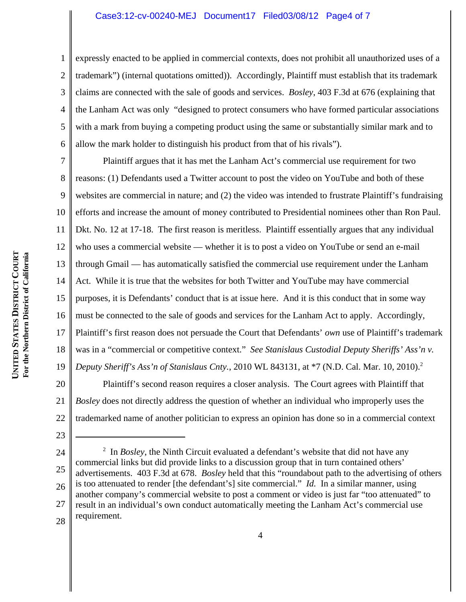## Case3:12-cv-00240-MEJ Document17 Filed03/08/12 Page4 of 7

1 2 3 4 5 6 expressly enacted to be applied in commercial contexts, does not prohibit all unauthorized uses of a trademark") (internal quotations omitted)). Accordingly, Plaintiff must establish that its trademark claims are connected with the sale of goods and services. *Bosley*, 403 F.3d at 676 (explaining that the Lanham Act was only "designed to protect consumers who have formed particular associations with a mark from buying a competing product using the same or substantially similar mark and to allow the mark holder to distinguish his product from that of his rivals").

7 8 9 10 11 12 13 14 15 16 17 18 19 Plaintiff argues that it has met the Lanham Act's commercial use requirement for two reasons: (1) Defendants used a Twitter account to post the video on YouTube and both of these websites are commercial in nature; and (2) the video was intended to frustrate Plaintiff's fundraising efforts and increase the amount of money contributed to Presidential nominees other than Ron Paul. Dkt. No. 12 at 17-18. The first reason is meritless. Plaintiff essentially argues that any individual who uses a commercial website — whether it is to post a video on YouTube or send an e-mail through Gmail — has automatically satisfied the commercial use requirement under the Lanham Act. While it is true that the websites for both Twitter and YouTube may have commercial purposes, it is Defendants' conduct that is at issue here. And it is this conduct that in some way must be connected to the sale of goods and services for the Lanham Act to apply. Accordingly, Plaintiff's first reason does not persuade the Court that Defendants' *own* use of Plaintiff's trademark was in a "commercial or competitive context." *See Stanislaus Custodial Deputy Sheriffs' Ass'n v. Deputy Sheriff's Ass'n of Stanislaus Cnty.*, 2010 WL 843131, at \*7 (N.D. Cal. Mar. 10, 2010).<sup>2</sup>

20 21 22 Plaintiff's second reason requires a closer analysis. The Court agrees with Plaintiff that *Bosley* does not directly address the question of whether an individual who improperly uses the trademarked name of another politician to express an opinion has done so in a commercial context

- 23
- 24 25 26 27 28 <sup>2</sup> In *Bosley*, the Ninth Circuit evaluated a defendant's website that did not have any commercial links but did provide links to a discussion group that in turn contained others' advertisements. 403 F.3d at 678. *Bosley* held that this "roundabout path to the advertising of others is too attenuated to render [the defendant's] site commercial." *Id.* In a similar manner, using another company's commercial website to post a comment or video is just far "too attenuated" to result in an individual's own conduct automatically meeting the Lanham Act's commercial use requirement.

**COURT** For the Northern District of California **For the Northern District of California DISTRICT STATES UNITED**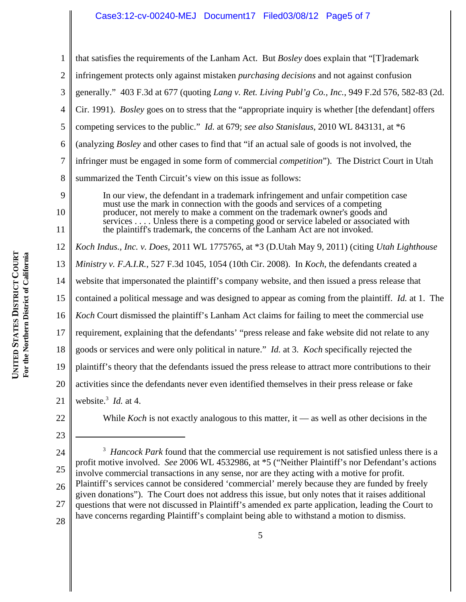## Case3:12-cv-00240-MEJ Document17 Filed03/08/12 Page5 of 7

that satisfies the requirements of the Lanham Act. But *Bosley* does explain that "[T]rademark

infringement protects only against mistaken *purchasing decisions* and not against confusion

|                                                                                | 3  | generally." 403 F.3d at 677 (quoting Lang v. Ret. Living Publ'g Co., Inc., 949 F.2d 576, 582-83 (2d.                                                             |
|--------------------------------------------------------------------------------|----|------------------------------------------------------------------------------------------------------------------------------------------------------------------|
|                                                                                | 4  | Cir. 1991). Bosley goes on to stress that the "appropriate inquiry is whether [the defendant] offers                                                             |
|                                                                                | 5  | competing services to the public." <i>Id.</i> at 679; see also Stanislaus, 2010 WL 843131, at *6                                                                 |
|                                                                                | 6  | (analyzing <i>Bosley</i> and other cases to find that "if an actual sale of goods is not involved, the                                                           |
|                                                                                | 7  | infringer must be engaged in some form of commercial <i>competition</i> "). The District Court in Utah                                                           |
|                                                                                | 8  | summarized the Tenth Circuit's view on this issue as follows:                                                                                                    |
|                                                                                | 9  | In our view, the defendant in a trademark infringement and unfair competition case<br>must use the mark in connection with the goods and services of a competing |
|                                                                                | 10 | producer, not merely to make a comment on the trademark owner's goods and<br>services Unless there is a competing good or service labeled or associated with     |
|                                                                                | 11 | the plaintiff's trademark, the concerns of the Lanham Act are not invoked.                                                                                       |
|                                                                                | 12 | Koch Indus., Inc. v. Does, 2011 WL 1775765, at *3 (D.Utah May 9, 2011) (citing Utah Lighthouse                                                                   |
|                                                                                | 13 | Ministry v. F.A.I.R., 527 F.3d 1045, 1054 (10th Cir. 2008). In Koch, the defendants created a                                                                    |
|                                                                                | 14 | website that impersonated the plaintiff's company website, and then issued a press release that                                                                  |
|                                                                                | 15 | contained a political message and was designed to appear as coming from the plaintiff. <i>Id.</i> at 1. The                                                      |
|                                                                                | 16 | Koch Court dismissed the plaintiff's Lanham Act claims for failing to meet the commercial use                                                                    |
|                                                                                | 17 | requirement, explaining that the defendants' "press release and fake website did not relate to any                                                               |
|                                                                                | 18 | goods or services and were only political in nature." <i>Id.</i> at 3. <i>Koch</i> specifically rejected the                                                     |
| <b>UNITED STATES DISTRICT COURT</b><br>For the Northern District of California | 19 | plaintiff's theory that the defendants issued the press release to attract more contributions to their                                                           |
|                                                                                | 20 | activities since the defendants never even identified themselves in their press release or fake                                                                  |

1

2

While *Koch* is not exactly analogous to this matter, it — as well as other decisions in the

24 25 26 27 <sup>3</sup> Hancock Park found that the commercial use requirement is not satisfied unless there is a profit motive involved. *See* 2006 WL 4532986, at \*5 ("Neither Plaintiff's nor Defendant's actions involve commercial transactions in any sense, nor are they acting with a motive for profit. Plaintiff's services cannot be considered 'commercial' merely because they are funded by freely given donations"). The Court does not address this issue, but only notes that it raises additional questions that were not discussed in Plaintiff's amended ex parte application, leading the Court to have concerns regarding Plaintiff's complaint being able to withstand a motion to dismiss.

21

website.<sup>3</sup> *Id.* at 4.

22

23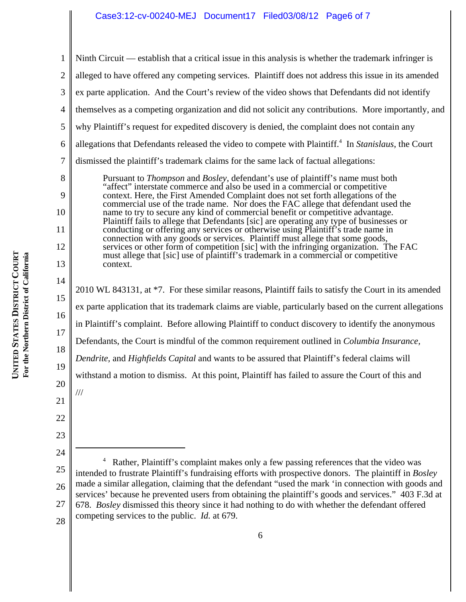## Case3:12-cv-00240-MEJ Document17 Filed03/08/12 Page6 of 7

|                                                                         | $\overline{\mathcal{L}}$ | themselv              |
|-------------------------------------------------------------------------|--------------------------|-----------------------|
|                                                                         | $\overline{5}$           | why Plai              |
|                                                                         | $\overline{6}$           | allegation            |
|                                                                         | $\overline{7}$           | dismisse              |
|                                                                         | 8                        |                       |
|                                                                         | 9                        | P " c c n n P c c s s |
|                                                                         | 10                       |                       |
|                                                                         |                          |                       |
|                                                                         | 11                       |                       |
|                                                                         | 12                       |                       |
|                                                                         |                          | $\mathbf{n}$          |
|                                                                         | 13                       | $\mathbf{C}$          |
| UNITED STATES DISTRICT COURT<br>For the Northern District of California | 14                       |                       |
|                                                                         | 15                       | 2010 WL               |
|                                                                         |                          | ex parte              |
|                                                                         | 16                       | in Plainti            |
|                                                                         | 17                       |                       |
|                                                                         | 18                       | Defendar              |
|                                                                         |                          | Dendrite              |
|                                                                         | 19                       | withstand             |
|                                                                         |                          |                       |

1 2 3 20 21 22 23 24 25 26 27 4 Rather, Plaintiff's complaint makes only a few passing references that the video was intended to frustrate Plaintiff's fundraising efforts with prospective donors. The plaintiff in *Bosley* made a similar allegation, claiming that the defendant "used the mark 'in connection with goods and services' because he prevented users from obtaining the plaintiff's goods and services." 403 F.3d at 678. *Bosley* dismissed this theory since it had nothing to do with whether the defendant offered Ninth Circuit — establish that a critical issue in this analysis is whether the trademark infringer is alleged to have offered any competing services. Plaintiff does not address this issue in its amended ex parte application. And the Court's review of the video shows that Defendants did not identify the set as a competing organization and did not solicit any contributions. More importantly, and ntiff's request for expedited discovery is denied, the complaint does not contain any allegations that Defendants released the video to compete with Plaintiff.<sup>4</sup> In *Stanislaus*, the Court d the plaintiff's trademark claims for the same lack of factual allegations: Pursuant to *Thompson* and *Bosley*, defendant's use of plaintiff's name must both affect" interstate commerce and also be used in a commercial or competitive context. Here, the First Amended Complaint does not set forth allegations of the commercial use of the trade name. Nor does the FAC allege that defendant used the ame to try to secure any kind of commercial benefit or competitive advantage. laintiff fails to allege that Defendants [sic] are operating any type of businesses or conducting or offering any services or otherwise using Plaintiff's trade name in connection with any goods or services. Plaintiff must allege that some goods, ervices or other form of competition [sic] with the infringing organization. The FAC must allege that [sic] use of plaintiff's trademark in a commercial or competitive ontext.  $2843131$ , at  $*7$ . For these similar reasons, Plaintiff fails to satisfy the Court in its amended application that its trademark claims are viable, particularly based on the current allegations in Plaintiff's complaint. Before allowing Plaintiff to conduct discovery to identify the anonymous nts, the Court is mindful of the common requirement outlined in *Columbia Insurance*, *Dendrite,* and *Highfields Capital* and wants to be assured that Plaintiff's federal claims will d a motion to dismiss. At this point, Plaintiff has failed to assure the Court of this and ///

28 competing services to the public. *Id.* at 679.